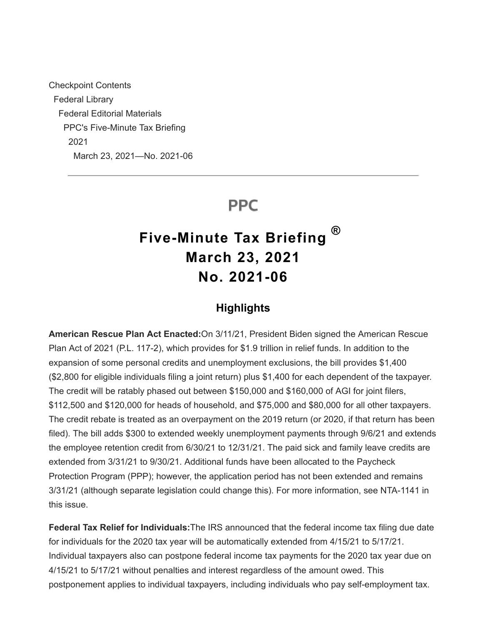Checkpoint Contents Federal Library Federal Editorial Materials PPC's Five-Minute Tax Briefing 2021 March 23, 2021—No. 2021-06

## **PPC**

# **Five-Minute Tax Briefing March 23, 2021 No. 2021-06 ®**

### **Highlights**

**American Rescue Plan Act Enacted:**On 3/11/21, President Biden signed the American Rescue Plan Act of 2021 (P.L. 117-2), which provides for \$1.9 trillion in relief funds. In addition to the expansion of some personal credits and unemployment exclusions, the bill provides \$1,400 (\$2,800 for eligible individuals filing a joint return) plus \$1,400 for each dependent of the taxpayer. The credit will be ratably phased out between \$150,000 and \$160,000 of AGI for joint filers, \$112,500 and \$120,000 for heads of household, and \$75,000 and \$80,000 for all other taxpayers. The credit rebate is treated as an overpayment on the 2019 return (or 2020, if that return has been filed). The bill adds \$300 to extended weekly unemployment payments through 9/6/21 and extends the employee retention credit from 6/30/21 to 12/31/21. The paid sick and family leave credits are extended from 3/31/21 to 9/30/21. Additional funds have been allocated to the Paycheck Protection Program (PPP); however, the application period has not been extended and remains 3/31/21 (although separate legislation could change this). For more information, see NTA-1141 in this issue.

**Federal Tax Relief for Individuals:**The IRS announced that the federal income tax filing due date for individuals for the 2020 tax year will be automatically extended from 4/15/21 to 5/17/21. Individual taxpayers also can postpone federal income tax payments for the 2020 tax year due on 4/15/21 to 5/17/21 without penalties and interest regardless of the amount owed. This postponement applies to individual taxpayers, including individuals who pay self-employment tax.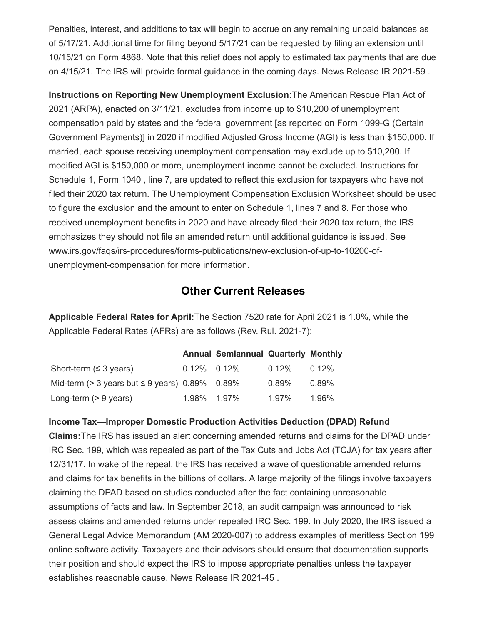Penalties, interest, and additions to tax will begin to accrue on any remaining unpaid balances as of 5/17/21. Additional time for filing beyond 5/17/21 can be requested by filing an extension until 10/15/21 on Form 4868. Note that this relief does not apply to estimated tax payments that are due on 4/15/21. The IRS will provide formal guidance in the coming days. News Release IR 2021-59 .

**Instructions on Reporting New Unemployment Exclusion:**The American Rescue Plan Act of 2021 (ARPA), enacted on 3/11/21, excludes from income up to \$10,200 of unemployment compensation paid by states and the federal government [as reported on Form 1099-G (Certain Government Payments)] in 2020 if modified Adjusted Gross Income (AGI) is less than \$150,000. If married, each spouse receiving unemployment compensation may exclude up to \$10,200. If modified AGI is \$150,000 or more, unemployment income cannot be excluded. Instructions for Schedule 1, Form 1040 , line 7, are updated to reflect this exclusion for taxpayers who have not filed their 2020 tax return. The Unemployment Compensation Exclusion Worksheet should be used to figure the exclusion and the amount to enter on Schedule 1, lines 7 and 8. For those who received unemployment benefits in 2020 and have already filed their 2020 tax return, the IRS emphasizes they should not file an amended return until additional guidance is issued. See www.irs.gov/faqs/irs-procedures/forms-publications/new-exclusion-of-up-to-10200-ofunemployment-compensation for more information.

### **Other Current Releases**

**Applicable Federal Rates for April:**The Section 7520 rate for April 2021 is 1.0%, while the Applicable Federal Rates (AFRs) are as follows (Rev. Rul. 2021-7):

|                                                        |                | <b>Annual Semiannual Quarterly Monthly</b> |          |          |
|--------------------------------------------------------|----------------|--------------------------------------------|----------|----------|
| Short-term $( \leq 3 \text{ years})$                   | $0.12\%$ 0.12% |                                            | $0.12\%$ | $0.12\%$ |
| Mid-term ( $>$ 3 years but $\leq$ 9 years) 0.89% 0.89% |                |                                            | $0.89\%$ | 0.89%    |
| Long-term $(> 9$ years)                                | 1.98% 1.97%    |                                            | 1.97%    | 1.96%    |

#### **Income Tax—Improper Domestic Production Activities Deduction (DPAD) Refund**

**Claims:**The IRS has issued an alert concerning amended returns and claims for the DPAD under IRC Sec. 199, which was repealed as part of the Tax Cuts and Jobs Act (TCJA) for tax years after 12/31/17. In wake of the repeal, the IRS has received a wave of questionable amended returns and claims for tax benefits in the billions of dollars. A large majority of the filings involve taxpayers claiming the DPAD based on studies conducted after the fact containing unreasonable assumptions of facts and law. In September 2018, an audit campaign was announced to risk assess claims and amended returns under repealed IRC Sec. 199. In July 2020, the IRS issued a General Legal Advice Memorandum (AM 2020-007) to address examples of meritless Section 199 online software activity. Taxpayers and their advisors should ensure that documentation supports their position and should expect the IRS to impose appropriate penalties unless the taxpayer establishes reasonable cause. News Release IR 2021-45 .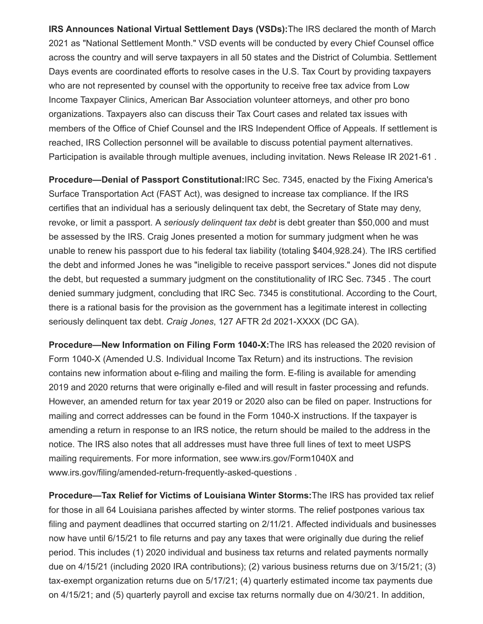**IRS Announces National Virtual Settlement Days (VSDs):**The IRS declared the month of March 2021 as "National Settlement Month." VSD events will be conducted by every Chief Counsel office across the country and will serve taxpayers in all 50 states and the District of Columbia. Settlement Days events are coordinated efforts to resolve cases in the U.S. Tax Court by providing taxpayers who are not represented by counsel with the opportunity to receive free tax advice from Low Income Taxpayer Clinics, American Bar Association volunteer attorneys, and other pro bono organizations. Taxpayers also can discuss their Tax Court cases and related tax issues with members of the Office of Chief Counsel and the IRS Independent Office of Appeals. If settlement is reached, IRS Collection personnel will be available to discuss potential payment alternatives. Participation is available through multiple avenues, including invitation. News Release IR 2021-61 .

**Procedure—Denial of Passport Constitutional:**IRC Sec. 7345, enacted by the Fixing America's Surface Transportation Act (FAST Act), was designed to increase tax compliance. If the IRS certifies that an individual has a seriously delinquent tax debt, the Secretary of State may deny, revoke, or limit a passport. A *seriously delinquent tax debt* is debt greater than \$50,000 and must be assessed by the IRS. Craig Jones presented a motion for summary judgment when he was unable to renew his passport due to his federal tax liability (totaling \$404,928.24). The IRS certified the debt and informed Jones he was "ineligible to receive passport services." Jones did not dispute the debt, but requested a summary judgment on the constitutionality of IRC Sec. 7345 . The court denied summary judgment, concluding that IRC Sec. 7345 is constitutional. According to the Court, there is a rational basis for the provision as the government has a legitimate interest in collecting seriously delinquent tax debt. *Craig Jones*, 127 AFTR 2d 2021-XXXX (DC GA).

**Procedure—New Information on Filing Form 1040-X:**The IRS has released the 2020 revision of Form 1040-X (Amended U.S. Individual Income Tax Return) and its instructions. The revision contains new information about e-filing and mailing the form. E-filing is available for amending 2019 and 2020 returns that were originally e-filed and will result in faster processing and refunds. However, an amended return for tax year 2019 or 2020 also can be filed on paper. Instructions for mailing and correct addresses can be found in the Form 1040-X instructions. If the taxpayer is amending a return in response to an IRS notice, the return should be mailed to the address in the notice. The IRS also notes that all addresses must have three full lines of text to meet USPS mailing requirements. For more information, see www.irs.gov/Form1040X and www.irs.gov/filing/amended-return-frequently-asked-questions .

**Procedure—Tax Relief for Victims of Louisiana Winter Storms:**The IRS has provided tax relief for those in all 64 Louisiana parishes affected by winter storms. The relief postpones various tax filing and payment deadlines that occurred starting on 2/11/21. Affected individuals and businesses now have until 6/15/21 to file returns and pay any taxes that were originally due during the relief period. This includes (1) 2020 individual and business tax returns and related payments normally due on 4/15/21 (including 2020 IRA contributions); (2) various business returns due on 3/15/21; (3) tax-exempt organization returns due on 5/17/21; (4) quarterly estimated income tax payments due on 4/15/21; and (5) quarterly payroll and excise tax returns normally due on 4/30/21. In addition,